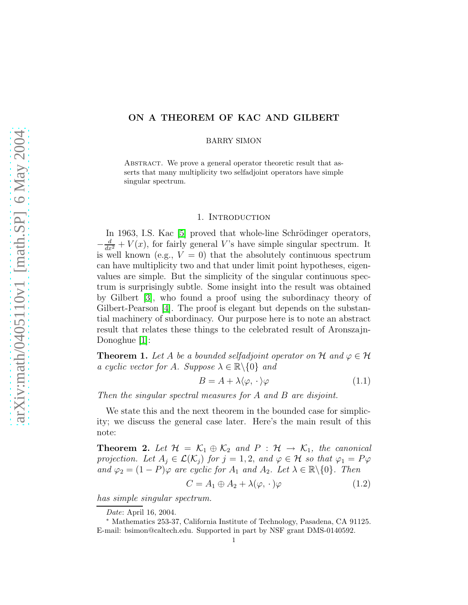# ON A THEOREM OF KAC AND GILBERT

BARRY SIMON

ABSTRACT. We prove a general operator theoretic result that asserts that many multiplicity two selfadjoint operators have simple singular spectrum.

#### 1. INTRODUCTION

In 1963, I.S. Kac [\[5\]](#page-5-0) proved that whole-line Schrödinger operators,  $-\frac{d}{dx^2} + V(x)$ , for fairly general V's have simple singular spectrum. It is well known (e.g.,  $V = 0$ ) that the absolutely continuous spectrum can have multiplicity two and that under limit point hypotheses, eigenvalues are simple. But the simplicity of the singular continuous spectrum is surprisingly subtle. Some insight into the result was obtained by Gilbert [\[3\]](#page-5-1), who found a proof using the subordinacy theory of Gilbert-Pearson [\[4\]](#page-5-2). The proof is elegant but depends on the substantial machinery of subordinacy. Our purpose here is to note an abstract result that relates these things to the celebrated result of Aronszajn-Donoghue [\[1\]](#page-4-0):

**Theorem 1.** Let A be a bounded selfadjoint operator on H and  $\varphi \in \mathcal{H}$ a cyclic vector for A. Suppose  $\lambda \in \mathbb{R} \backslash \{0\}$  and

$$
B = A + \lambda \langle \varphi, \cdot \rangle \varphi \tag{1.1}
$$

Then the singular spectral measures for A and B are disjoint.

We state this and the next theorem in the bounded case for simplicity; we discuss the general case later. Here's the main result of this note:

**Theorem 2.** Let  $\mathcal{H} = \mathcal{K}_1 \oplus \mathcal{K}_2$  and  $P : \mathcal{H} \rightarrow \mathcal{K}_1$ , the canonical projection. Let  $A_j \in \mathcal{L}(\mathcal{K}_j)$  for  $j = 1, 2$ , and  $\varphi \in \mathcal{H}$  so that  $\varphi_1 = P\varphi$ and  $\varphi_2 = (1 - P)\varphi$  are cyclic for  $A_1$  and  $A_2$ . Let  $\lambda \in \mathbb{R} \setminus \{0\}$ . Then

$$
C = A_1 \oplus A_2 + \lambda(\varphi, \cdot)\varphi \tag{1.2}
$$

has simple singular spectrum.

Date: April 16, 2004.

<sup>∗</sup> Mathematics 253-37, California Institute of Technology, Pasadena, CA 91125. E-mail: bsimon@caltech.edu. Supported in part by NSF grant DMS-0140592.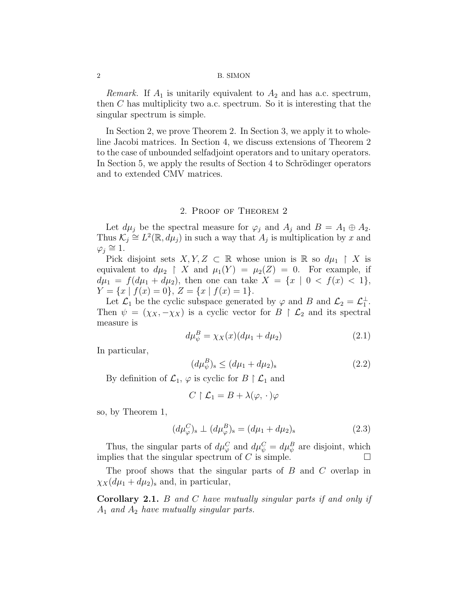#### 2 B. SIMON

*Remark.* If  $A_1$  is unitarily equivalent to  $A_2$  and has a.c. spectrum, then  $C$  has multiplicity two a.c. spectrum. So it is interesting that the singular spectrum is simple.

In Section 2, we prove Theorem 2. In Section 3, we apply it to wholeline Jacobi matrices. In Section 4, we discuss extensions of Theorem 2 to the case of unbounded selfadjoint operators and to unitary operators. In Section 5, we apply the results of Section 4 to Schrödinger operators and to extended CMV matrices.

## 2. Proof of Theorem 2

Let  $d\mu_j$  be the spectral measure for  $\varphi_j$  and  $A_j$  and  $B = A_1 \oplus A_2$ . Thus  $\mathcal{K}_j \cong L^2(\mathbb{R}, d\mu_j)$  in such a way that  $A_j$  is multiplication by x and  $\varphi_j \cong 1$ .

Pick disjoint sets  $X, Y, Z \subset \mathbb{R}$  whose union is  $\mathbb{R}$  so  $d\mu_1 \upharpoonright X$  is equivalent to  $d\mu_2 \upharpoonright X$  and  $\mu_1(Y) = \mu_2(Z) = 0$ . For example, if  $d\mu_1 = f(d\mu_1 + d\mu_2)$ , then one can take  $X = \{x \mid 0 < f(x) < 1\},$  $Y = \{x \mid f(x) = 0\}, Z = \{x \mid f(x) = 1\}.$ 

Let  $\mathcal{L}_1$  be the cyclic subspace generated by  $\varphi$  and B and  $\mathcal{L}_2 = \mathcal{L}_1^{\perp}$ . Then  $\psi = (\chi_X, -\chi_X)$  is a cyclic vector for  $B \restriction \mathcal{L}_2$  and its spectral measure is

$$
d\mu_{\psi}^{B} = \chi_{X}(x)(d\mu_{1} + d\mu_{2})
$$
\n(2.1)

In particular,

$$
(d\mu_{\psi}^{B})_{s} \le (d\mu_{1} + d\mu_{2})_{s} \tag{2.2}
$$

By definition of  $\mathcal{L}_1$ ,  $\varphi$  is cyclic for  $B \restriction \mathcal{L}_1$  and

$$
C\restriction \mathcal L_1=B+\lambda(\varphi,\,\cdot\,)\varphi
$$

so, by Theorem 1,

$$
(d\mu_{\varphi}^{C})_{s} \perp (d\mu_{\varphi}^{B})_{s} = (d\mu_{1} + d\mu_{2})_{s}
$$
 (2.3)

Thus, the singular parts of  $d\mu_{\varphi}^C$  and  $d\mu_{\psi}^C = d\mu_{\psi}^B$  are disjoint, which implies that the singular spectrum of  $C$  is simple.

The proof shows that the singular parts of B and C overlap in  $\chi_X(d\mu_1 + d\mu_2)$  and, in particular,

Corollary 2.1. B and C have mutually singular parts if and only if  $A_1$  and  $A_2$  have mutually singular parts.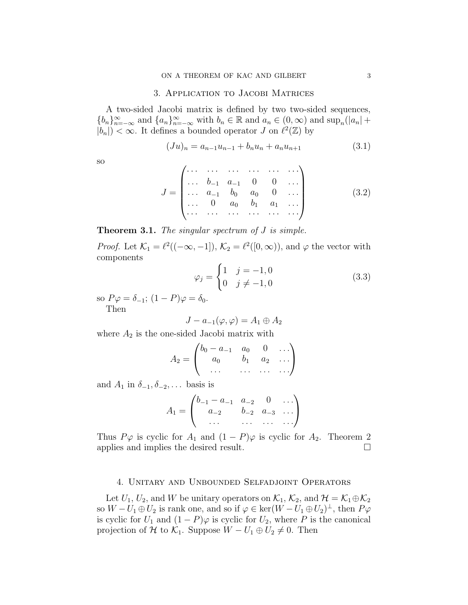## 3. Application to Jacobi Matrices

A two-sided Jacobi matrix is defined by two two-sided sequences,  ${b_n}_{n=-\infty}^{\infty}$  and  ${a_n}_{n=-\infty}^{\infty}$  with  $b_n \in \mathbb{R}$  and  $a_n \in (0, \infty)$  and  $\sup_n(|a_n| +$  $|b_n|$  <  $\infty$ . It defines a bounded operator J on  $\ell^2(\mathbb{Z})$  by

$$
(Ju)_n = a_{n-1}u_{n-1} + b_n u_n + a_n u_{n+1}
$$
\n(3.1)

so

$$
J = \begin{pmatrix} \cdots & \cdots & \cdots & \cdots & \cdots \\ \cdots & b_{-1} & a_{-1} & 0 & 0 & \cdots \\ \cdots & a_{-1} & b_0 & a_0 & 0 & \cdots \\ \cdots & 0 & a_0 & b_1 & a_1 & \cdots \\ \cdots & \cdots & \cdots & \cdots & \cdots & \cdots \end{pmatrix}
$$
 (3.2)

**Theorem 3.1.** The singular spectrum of  $J$  is simple.

*Proof.* Let  $\mathcal{K}_1 = \ell^2((-\infty, -1]), \mathcal{K}_2 = \ell^2([0, \infty)),$  and  $\varphi$  the vector with components

$$
\varphi_j = \begin{cases} 1 & j = -1, 0 \\ 0 & j \neq -1, 0 \end{cases}
$$
 (3.3)

so  $P\varphi = \delta_{-1}$ ;  $(1 - P)\varphi = \delta_0$ . Then

$$
J - a_{-1}(\varphi, \varphi) = A_1 \oplus A_2
$$

where  $A_2$  is the one-sided Jacobi matrix with

$$
A_2 = \begin{pmatrix} b_0 - a_{-1} & a_0 & 0 & \dots \\ a_0 & b_1 & a_2 & \dots \\ \dots & \dots & \dots & \dots \end{pmatrix}
$$

and  $A_1$  in  $\delta_{-1}, \delta_{-2}, \ldots$  basis is

$$
A_1 = \begin{pmatrix} b_{-1} - a_{-1} & a_{-2} & 0 & \dots \\ a_{-2} & b_{-2} & a_{-3} & \dots \\ \dots & \dots & \dots & \dots \end{pmatrix}
$$

Thus  $P\varphi$  is cyclic for  $A_1$  and  $(1 - P)\varphi$  is cyclic for  $A_2$ . Theorem 2 applies and implies the desired result.

### 4. Unitary and Unbounded Selfadjoint Operators

<span id="page-2-0"></span>Let  $U_1, U_2$ , and W be unitary operators on  $\mathcal{K}_1, \mathcal{K}_2$ , and  $\mathcal{H} = \mathcal{K}_1 \oplus \mathcal{K}_2$ so  $W - U_1 \oplus U_2$  is rank one, and so if  $\varphi \in \ker(W - U_1 \oplus U_2)^{\perp}$ , then  $P\varphi$ is cyclic for  $U_1$  and  $(1 - P)\varphi$  is cyclic for  $U_2$ , where P is the canonical projection of H to  $\mathcal{K}_1$ . Suppose  $W - U_1 \oplus U_2 \neq 0$ . Then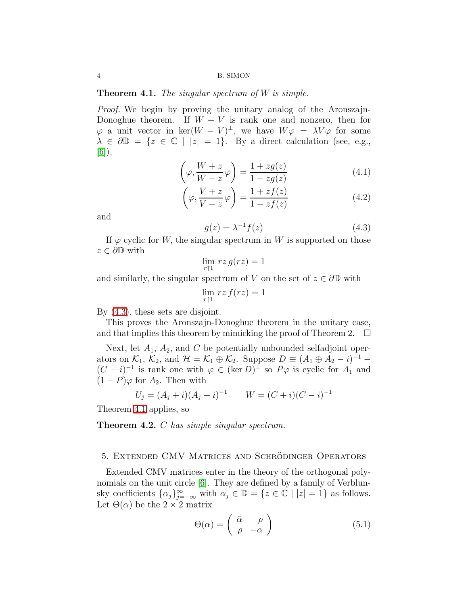4 B. SIMON

### **Theorem 4.1.** The singular spectrum of  $W$  is simple.

Proof. We begin by proving the unitary analog of the Aronszajn-Donoghue theorem. If  $W - V$  is rank one and nonzero, then for  $\varphi$  a unit vector in ker $(W - V)^{\perp}$ , we have  $W\varphi = \lambda V\varphi$  for some  $\lambda \in \partial \mathbb{D} = \{z \in \mathbb{C} \mid |z| = 1\}.$  By a direct calculation (see, e.g., [\[6\]](#page-5-3)),

$$
\left(\varphi, \frac{W+z}{W-z}\varphi\right) = \frac{1+zg(z)}{1-zg(z)}\tag{4.1}
$$

$$
\left(\varphi, \frac{V+z}{V-z}\varphi\right) = \frac{1+zf(z)}{1-zf(z)}\tag{4.2}
$$

<span id="page-3-0"></span>and

$$
g(z) = \lambda^{-1} f(z) \tag{4.3}
$$

If  $\varphi$  cyclic for W, the singular spectrum in W is supported on those  $z \in \partial \mathbb{D}$  with

$$
\lim_{r \uparrow 1} \, r z \, g(r z) = 1
$$

and similarly, the singular spectrum of V on the set of  $z \in \partial \mathbb{D}$  with

$$
\lim_{r \uparrow 1} \, rz \, f(rz) = 1
$$

By [\(4.3\)](#page-3-0), these sets are disjoint.

This proves the Aronszajn-Donoghue theorem in the unitary case, and that implies this theorem by mimicking the proof of Theorem 2.  $\Box$ 

Next, let  $A_1$ ,  $A_2$ , and C be potentially unbounded selfadjoint operators on  $\mathcal{K}_1$ ,  $\mathcal{K}_2$ , and  $\mathcal{H} = \mathcal{K}_1 \oplus \mathcal{K}_2$ . Suppose  $D \equiv (A_1 \oplus A_2 - i)^{-1}$  $(C - i)^{-1}$  is rank one with  $\varphi \in (\ker D)^{\perp}$  so  $P\varphi$  is cyclic for  $A_1$  and  $(1 - P)\varphi$  for  $A_2$ . Then with

$$
U_j = (A_j + i)(A_j - i)^{-1} \qquad W = (C + i)(C - i)^{-1}
$$

<span id="page-3-1"></span>Theorem [4.1](#page-2-0) applies, so

Theorem 4.2. C has simple singular spectrum.

### 5. Extended CMV Matrices and Schrodinger Operators ¨

Extended CMV matrices enter in the theory of the orthogonal polynomials on the unit circle [\[6\]](#page-5-3). They are defined by a family of Verblunsky coefficients  $\{\alpha_j\}_{j=-\infty}^{\infty}$  with  $\alpha_j \in \mathbb{D} = \{z \in \mathbb{C} \mid |z|=1\}$  as follows. Let  $\Theta(\alpha)$  be the  $2 \times 2$  matrix

$$
\Theta(\alpha) = \begin{pmatrix} \bar{\alpha} & \rho \\ \rho & -\alpha \end{pmatrix}
$$
 (5.1)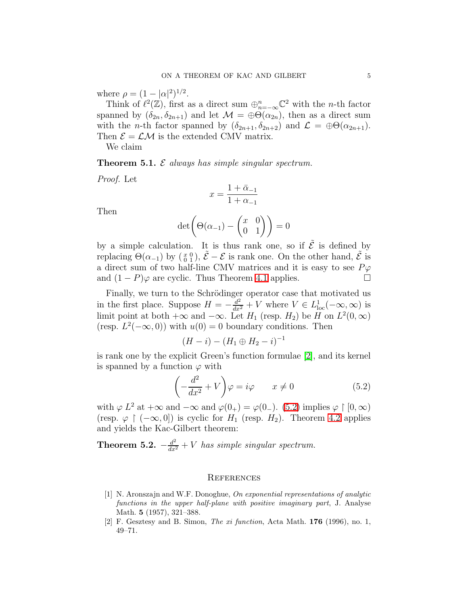where  $\rho = (1 - |\alpha|^2)^{1/2}$ .

Think of  $\ell^2(\mathbb{Z})$ , first as a direct sum  $\bigoplus_{n=-\infty}^n \mathbb{C}^2$  with the *n*-th factor spanned by  $(\delta_{2n}, \delta_{2n+1})$  and let  $\mathcal{M} = \bigoplus \mathcal{O}(\alpha_{2n})$ , then as a direct sum with the *n*-th factor spanned by  $(\delta_{2n+1}, \delta_{2n+2})$  and  $\mathcal{L} = \bigoplus \Theta(\alpha_{2n+1})$ . Then  $\mathcal{E} = \mathcal{L} \mathcal{M}$  is the extended CMV matrix.

We claim

**Theorem 5.1.**  $\mathcal E$  always has simple singular spectrum.

Proof. Let

$$
x=\frac{1+\bar\alpha_{-1}}{1+\alpha_{-1}}
$$

Then

$$
\det\left(\Theta(\alpha_{-1}) - \begin{pmatrix} x & 0 \\ 0 & 1 \end{pmatrix}\right) = 0
$$

by a simple calculation. It is thus rank one, so if  $\tilde{\mathcal{E}}$  is defined by replacing  $\Theta(\alpha_{-1})$  by  $(\frac{x}{0}, 0)$ ,  $\tilde{\mathcal{E}} - \mathcal{E}$  is rank one. On the other hand,  $\tilde{\mathcal{E}}$  is a direct sum of two half-line CMV matrices and it is easy to see  $P\varphi$ and  $(1 - P)\varphi$  are cyclic. Thus Theorem [4.1](#page-2-0) applies.

Finally, we turn to the Schrödinger operator case that motivated us in the first place. Suppose  $H = -\frac{d^2}{dx^2} + V$  where  $V \in L^1_{loc}(-\infty,\infty)$  is limit point at both  $+\infty$  and  $-\infty$ . Let  $H_1$  (resp.  $H_2$ ) be H on  $L^2(0,\infty)$ (resp.  $L^2(-\infty,0)$ ) with  $u(0)=0$  boundary conditions. Then

<span id="page-4-2"></span>
$$
(H - i) - (H_1 \oplus H_2 - i)^{-1}
$$

is rank one by the explicit Green's function formulae [\[2\]](#page-4-1), and its kernel is spanned by a function  $\varphi$  with

$$
\left(-\frac{d^2}{dx^2} + V\right)\varphi = i\varphi \qquad x \neq 0 \tag{5.2}
$$

with  $\varphi L^2$  at  $+\infty$  and  $-\infty$  and  $\varphi(0_+) = \varphi(0_-)$ . [\(5.2\)](#page-4-2) implies  $\varphi \upharpoonright [0, \infty)$ (resp.  $\varphi \restriction (-\infty, 0]$ ) is cyclic for  $H_1$  (resp.  $H_2$ ). Theorem [4.2](#page-3-1) applies and yields the Kac-Gilbert theorem:

**Theorem 5.2.**  $-\frac{d^2}{dx^2} + V$  has simple singular spectrum.

### **REFERENCES**

- <span id="page-4-0"></span>[1] N. Aronszajn and W.F. Donoghue, On exponential representations of analytic functions in the upper half-plane with positive imaginary part, J. Analyse Math. **5** (1957), 321–388.
- <span id="page-4-1"></span>[2] F. Gesztesy and B. Simon, *The xi function*, Acta Math. **176** (1996), no. 1, 49–71.